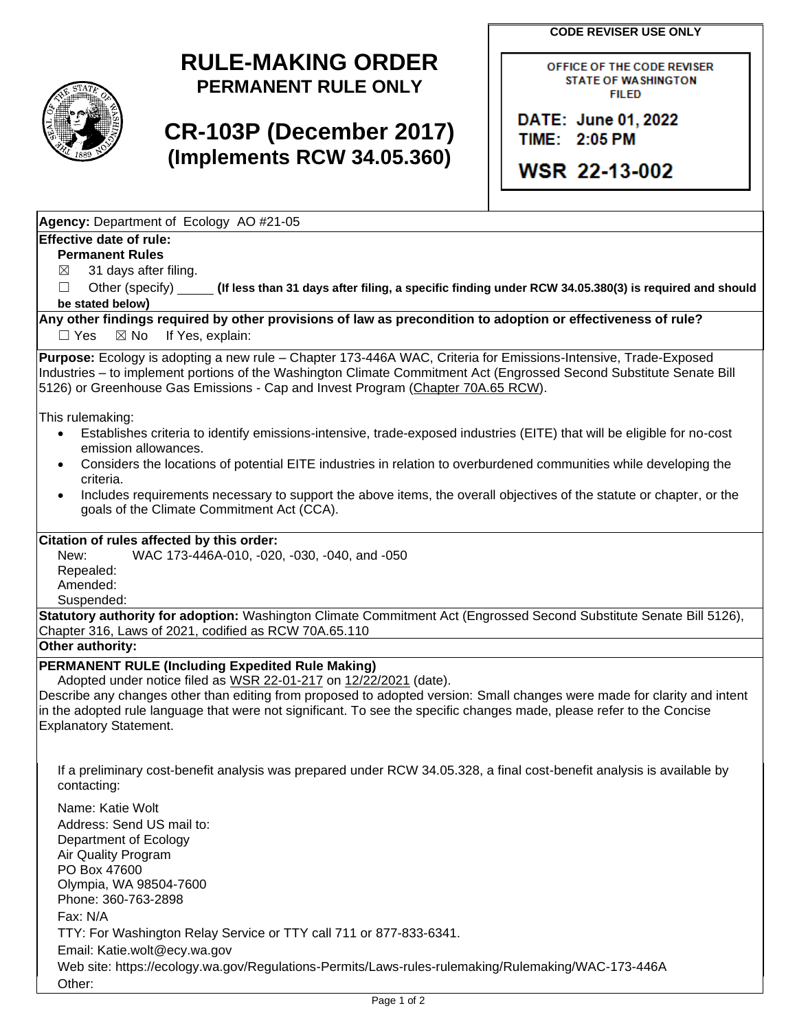**CODE REVISER USE ONLY**

## **RULE-MAKING ORDER PERMANENT RULE ONLY**

# **CR-103P (December 2017) (Implements RCW 34.05.360)**

OFFICE OF THE CODE REVISER **STATE OF WASHINGTON FILED** 

DATE: June 01, 2022 TIME: 2:05 PM

**WSR 22-13-002** 

**Agency:** Department of Ecology AO #21-05

### **Effective date of rule:**

**Permanent Rules**

 $\boxtimes$  31 days after filing.

☐ Other (specify) **(If less than 31 days after filing, a specific finding under RCW 34.05.380(3) is required and should be stated below)**

#### **Any other findings required by other provisions of law as precondition to adoption or effectiveness of rule?** □ Yes ⊠ No If Yes, explain:

**Purpose:** Ecology is adopting a new rule – Chapter 173-446A WAC, Criteria for Emissions-Intensive, Trade-Exposed Industries – to implement portions of the Washington Climate Commitment Act (Engrossed Second Substitute Senate Bill 5126) or Greenhouse Gas Emissions - Cap and Invest Program [\(Chapter 70A.65 RCW\)](https://app.leg.wa.gov/RCW/default.aspx?cite=70A.65).

This rulemaking:

- Establishes criteria to identify emissions-intensive, trade-exposed industries (EITE) that will be eligible for no-cost emission allowances.
- Considers the locations of potential EITE industries in relation to overburdened communities while developing the criteria.
- Includes requirements necessary to support the above items, the overall objectives of the statute or chapter, or the goals of the Climate Commitment Act (CCA).

### **Citation of rules affected by this order:**

New: WAC 173-446A-010, -020, -030, -040, and -050 Repealed: Amended:

Suspended:

**Statutory authority for adoption:** Washington Climate Commitment Act (Engrossed Second Substitute Senate Bill 5126), Chapter 316, Laws of 2021, codified as RCW 70A.65.110

**Other authority:** 

## **PERMANENT RULE (Including Expedited Rule Making)**

Adopted under notice filed as WSR 22-01-217 on 12/22/2021 (date).

Describe any changes other than editing from proposed to adopted version: Small changes were made for clarity and intent in the adopted rule language that were not significant. To see the specific changes made, please refer to the Concise Explanatory Statement.

If a preliminary cost-benefit analysis was prepared under RCW 34.05.328, a final cost-benefit analysis is available by contacting:

Name: Katie Wolt Address: Send US mail to: Department of Ecology Air Quality Program PO Box 47600 Olympia, WA 98504-7600 Phone: 360-763-2898 Fax: N/A TTY: For Washington Relay Service or TTY call 711 or 877-833-6341. Email: Katie.wolt@ecy.wa.gov Web site: https://ecology.wa.gov/Regulations-Permits/Laws-rules-rulemaking/Rulemaking/WAC-173-446A Other: